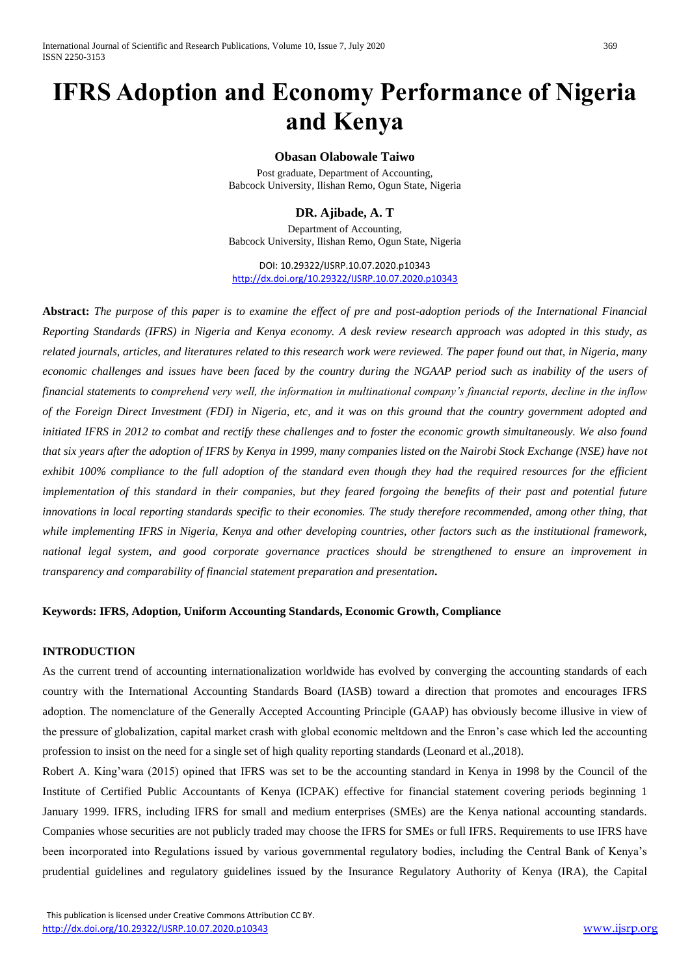# **IFRS Adoption and Economy Performance of Nigeria and Kenya**

# **Obasan Olabowale Taiwo**

Post graduate, Department of Accounting, Babcock University, Ilishan Remo, Ogun State, Nigeria

# **DR. Ajibade, A. T**

Department of Accounting, Babcock University, Ilishan Remo, Ogun State, Nigeria

DOI: 10.29322/IJSRP.10.07.2020.p10343 <http://dx.doi.org/10.29322/IJSRP.10.07.2020.p10343>

**Abstract:** *The purpose of this paper is to examine the effect of pre and post-adoption periods of the International Financial Reporting Standards (IFRS) in Nigeria and Kenya economy. A desk review research approach was adopted in this study, as related journals, articles, and literatures related to this research work were reviewed. The paper found out that, in Nigeria, many economic challenges and issues have been faced by the country during the NGAAP period such as inability of the users of financial statements to comprehend very well, the information in multinational company's financial reports, decline in the inflow of the Foreign Direct Investment (FDI) in Nigeria, etc, and it was on this ground that the country government adopted and initiated IFRS in 2012 to combat and rectify these challenges and to foster the economic growth simultaneously. We also found that six years after the adoption of IFRS by Kenya in 1999, many companies listed on the Nairobi Stock Exchange (NSE) have not exhibit 100% compliance to the full adoption of the standard even though they had the required resources for the efficient implementation of this standard in their companies, but they feared forgoing the benefits of their past and potential future innovations in local reporting standards specific to their economies. The study therefore recommended, among other thing, that while implementing IFRS in Nigeria, Kenya and other developing countries, other factors such as the institutional framework, national legal system, and good corporate governance practices should be strengthened to ensure an improvement in transparency and comparability of financial statement preparation and presentation***.**

# **Keywords: IFRS, Adoption, Uniform Accounting Standards, Economic Growth, Compliance**

# **INTRODUCTION**

As the current trend of accounting internationalization worldwide has evolved by converging the accounting standards of each country with the International Accounting Standards Board (IASB) toward a direction that promotes and encourages IFRS adoption. The nomenclature of the Generally Accepted Accounting Principle (GAAP) has obviously become illusive in view of the pressure of globalization, capital market crash with global economic meltdown and the Enron's case which led the accounting profession to insist on the need for a single set of high quality reporting standards (Leonard et al.,2018).

Robert A. King'wara (2015) opined that IFRS was set to be the accounting standard in Kenya in 1998 by the Council of the Institute of Certified Public Accountants of Kenya (ICPAK) effective for financial statement covering periods beginning 1 January 1999. IFRS, including IFRS for small and medium enterprises (SMEs) are the Kenya national accounting standards. Companies whose securities are not publicly traded may choose the IFRS for SMEs or full IFRS. Requirements to use IFRS have been incorporated into Regulations issued by various governmental regulatory bodies, including the Central Bank of Kenya's prudential guidelines and regulatory guidelines issued by the Insurance Regulatory Authority of Kenya (IRA), the Capital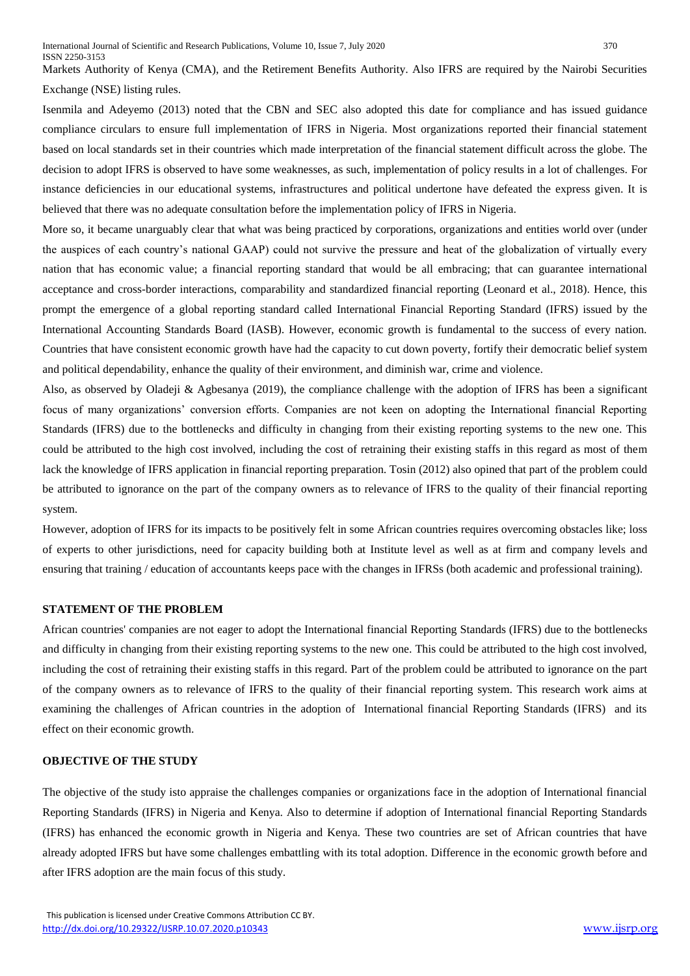Markets Authority of Kenya (CMA), and the Retirement Benefits Authority. Also IFRS are required by the Nairobi Securities Exchange (NSE) listing rules.

Isenmila and Adeyemo (2013) noted that the CBN and SEC also adopted this date for compliance and has issued guidance compliance circulars to ensure full implementation of IFRS in Nigeria. Most organizations reported their financial statement based on local standards set in their countries which made interpretation of the financial statement difficult across the globe. The decision to adopt IFRS is observed to have some weaknesses, as such, implementation of policy results in a lot of challenges. For instance deficiencies in our educational systems, infrastructures and political undertone have defeated the express given. It is believed that there was no adequate consultation before the implementation policy of IFRS in Nigeria.

More so, it became unarguably clear that what was being practiced by corporations, organizations and entities world over (under the auspices of each country's national GAAP) could not survive the pressure and heat of the globalization of virtually every nation that has economic value; a financial reporting standard that would be all embracing; that can guarantee international acceptance and cross-border interactions, comparability and standardized financial reporting (Leonard et al., 2018). Hence, this prompt the emergence of a global reporting standard called International Financial Reporting Standard (IFRS) issued by the International Accounting Standards Board (IASB). However, economic growth is fundamental to the success of every nation. Countries that have consistent economic growth have had the capacity to cut down poverty, fortify their democratic belief system and political dependability, enhance the quality of their environment, and diminish war, crime and violence.

Also, as observed by Oladeji & Agbesanya (2019), the compliance challenge with the adoption of IFRS has been a significant focus of many organizations' conversion efforts. Companies are not keen on adopting the International financial Reporting Standards (IFRS) due to the bottlenecks and difficulty in changing from their existing reporting systems to the new one. This could be attributed to the high cost involved, including the cost of retraining their existing staffs in this regard as most of them lack the knowledge of IFRS application in financial reporting preparation. Tosin (2012) also opined that part of the problem could be attributed to ignorance on the part of the company owners as to relevance of IFRS to the quality of their financial reporting system.

However, adoption of IFRS for its impacts to be positively felt in some African countries requires overcoming obstacles like; loss of experts to other jurisdictions, need for capacity building both at Institute level as well as at firm and company levels and ensuring that training / education of accountants keeps pace with the changes in IFRSs (both academic and professional training).

# **STATEMENT OF THE PROBLEM**

African countries' companies are not eager to adopt the International financial Reporting Standards (IFRS) due to the bottlenecks and difficulty in changing from their existing reporting systems to the new one. This could be attributed to the high cost involved, including the cost of retraining their existing staffs in this regard. Part of the problem could be attributed to ignorance on the part of the company owners as to relevance of IFRS to the quality of their financial reporting system. This research work aims at examining the challenges of African countries in the adoption of International financial Reporting Standards (IFRS) and its effect on their economic growth.

#### **OBJECTIVE OF THE STUDY**

The objective of the study isto appraise the challenges companies or organizations face in the adoption of International financial Reporting Standards (IFRS) in Nigeria and Kenya. Also to determine if adoption of International financial Reporting Standards (IFRS) has enhanced the economic growth in Nigeria and Kenya. These two countries are set of African countries that have already adopted IFRS but have some challenges embattling with its total adoption. Difference in the economic growth before and after IFRS adoption are the main focus of this study.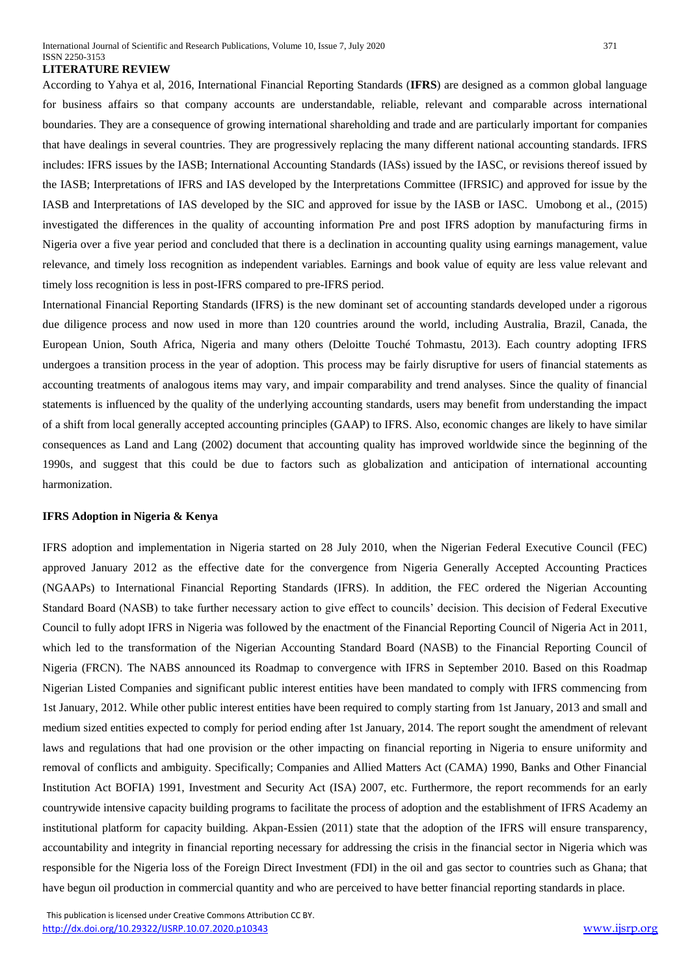#### **LITERATURE REVIEW**

According to Yahya et al, 2016, International Financial Reporting Standards (**IFRS**) are designed as a common global language for business affairs so that company accounts are understandable, reliable, relevant and comparable across international boundaries. They are a consequence of growing international shareholding and trade and are particularly important for companies that have dealings in several countries. They are progressively replacing the many different national accounting standards. IFRS includes: IFRS issues by the IASB; International Accounting Standards (IASs) issued by the IASC, or revisions thereof issued by the IASB; Interpretations of IFRS and IAS developed by the Interpretations Committee (IFRSIC) and approved for issue by the IASB and Interpretations of IAS developed by the SIC and approved for issue by the IASB or IASC. Umobong et al., (2015) investigated the differences in the quality of accounting information Pre and post IFRS adoption by manufacturing firms in Nigeria over a five year period and concluded that there is a declination in accounting quality using earnings management, value relevance, and timely loss recognition as independent variables. Earnings and book value of equity are less value relevant and timely loss recognition is less in post-IFRS compared to pre-IFRS period.

International Financial Reporting Standards (IFRS) is the new dominant set of accounting standards developed under a rigorous due diligence process and now used in more than 120 countries around the world, including Australia, Brazil, Canada, the European Union, South Africa, Nigeria and many others (Deloitte Touché Tohmastu, 2013). Each country adopting IFRS undergoes a transition process in the year of adoption. This process may be fairly disruptive for users of financial statements as accounting treatments of analogous items may vary, and impair comparability and trend analyses. Since the quality of financial statements is influenced by the quality of the underlying accounting standards, users may benefit from understanding the impact of a shift from local generally accepted accounting principles (GAAP) to IFRS. Also, economic changes are likely to have similar consequences as Land and Lang (2002) document that accounting quality has improved worldwide since the beginning of the 1990s, and suggest that this could be due to factors such as globalization and anticipation of international accounting harmonization.

#### **IFRS Adoption in Nigeria & Kenya**

IFRS adoption and implementation in Nigeria started on 28 July 2010, when the Nigerian Federal Executive Council (FEC) approved January 2012 as the effective date for the convergence from Nigeria Generally Accepted Accounting Practices (NGAAPs) to International Financial Reporting Standards (IFRS). In addition, the FEC ordered the Nigerian Accounting Standard Board (NASB) to take further necessary action to give effect to councils' decision. This decision of Federal Executive Council to fully adopt IFRS in Nigeria was followed by the enactment of the Financial Reporting Council of Nigeria Act in 2011, which led to the transformation of the Nigerian Accounting Standard Board (NASB) to the Financial Reporting Council of Nigeria (FRCN). The NABS announced its Roadmap to convergence with IFRS in September 2010. Based on this Roadmap Nigerian Listed Companies and significant public interest entities have been mandated to comply with IFRS commencing from 1st January, 2012. While other public interest entities have been required to comply starting from 1st January, 2013 and small and medium sized entities expected to comply for period ending after 1st January, 2014. The report sought the amendment of relevant laws and regulations that had one provision or the other impacting on financial reporting in Nigeria to ensure uniformity and removal of conflicts and ambiguity. Specifically; Companies and Allied Matters Act (CAMA) 1990, Banks and Other Financial Institution Act BOFIA) 1991, Investment and Security Act (ISA) 2007, etc. Furthermore, the report recommends for an early countrywide intensive capacity building programs to facilitate the process of adoption and the establishment of IFRS Academy an institutional platform for capacity building. Akpan-Essien (2011) state that the adoption of the IFRS will ensure transparency, accountability and integrity in financial reporting necessary for addressing the crisis in the financial sector in Nigeria which was responsible for the Nigeria loss of the Foreign Direct Investment (FDI) in the oil and gas sector to countries such as Ghana; that have begun oil production in commercial quantity and who are perceived to have better financial reporting standards in place.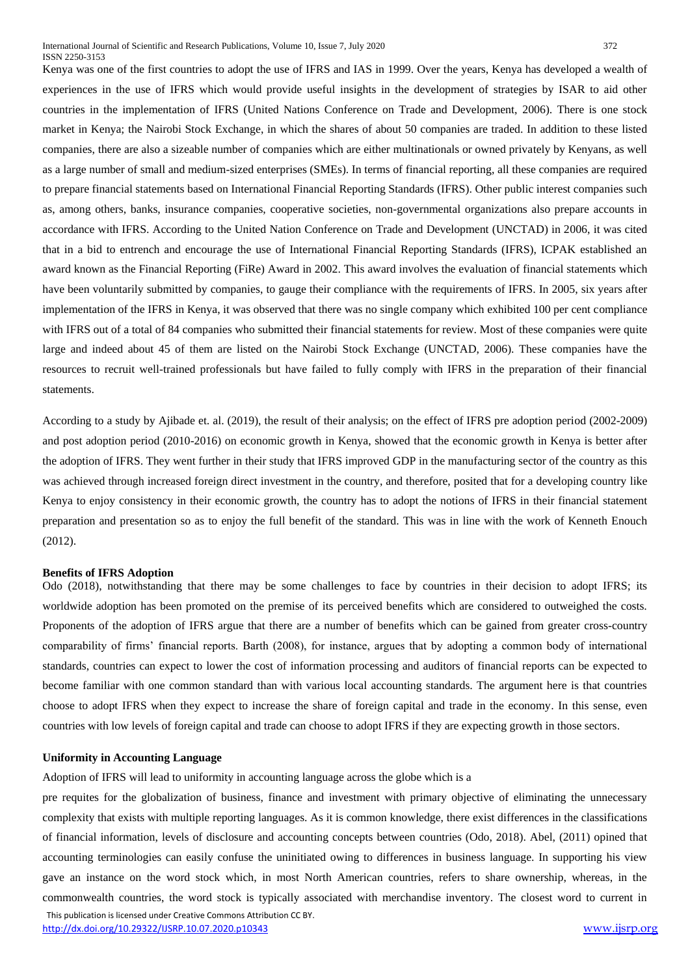Kenya was one of the first countries to adopt the use of IFRS and IAS in 1999. Over the years, Kenya has developed a wealth of experiences in the use of IFRS which would provide useful insights in the development of strategies by ISAR to aid other countries in the implementation of IFRS (United Nations Conference on Trade and Development, 2006). There is one stock market in Kenya; the Nairobi Stock Exchange, in which the shares of about 50 companies are traded. In addition to these listed companies, there are also a sizeable number of companies which are either multinationals or owned privately by Kenyans, as well as a large number of small and medium-sized enterprises (SMEs). In terms of financial reporting, all these companies are required to prepare financial statements based on International Financial Reporting Standards (IFRS). Other public interest companies such as, among others, banks, insurance companies, cooperative societies, non-governmental organizations also prepare accounts in accordance with IFRS. According to the United Nation Conference on Trade and Development (UNCTAD) in 2006, it was cited that in a bid to entrench and encourage the use of International Financial Reporting Standards (IFRS), ICPAK established an award known as the Financial Reporting (FiRe) Award in 2002. This award involves the evaluation of financial statements which have been voluntarily submitted by companies, to gauge their compliance with the requirements of IFRS. In 2005, six years after implementation of the IFRS in Kenya, it was observed that there was no single company which exhibited 100 per cent compliance with IFRS out of a total of 84 companies who submitted their financial statements for review. Most of these companies were quite large and indeed about 45 of them are listed on the Nairobi Stock Exchange (UNCTAD, 2006). These companies have the resources to recruit well-trained professionals but have failed to fully comply with IFRS in the preparation of their financial statements.

According to a study by Ajibade et. al. (2019), the result of their analysis; on the effect of IFRS pre adoption period (2002-2009) and post adoption period (2010-2016) on economic growth in Kenya, showed that the economic growth in Kenya is better after the adoption of IFRS. They went further in their study that IFRS improved GDP in the manufacturing sector of the country as this was achieved through increased foreign direct investment in the country, and therefore, posited that for a developing country like Kenya to enjoy consistency in their economic growth, the country has to adopt the notions of IFRS in their financial statement preparation and presentation so as to enjoy the full benefit of the standard. This was in line with the work of Kenneth Enouch (2012).

#### **Benefits of IFRS Adoption**

Odo (2018), notwithstanding that there may be some challenges to face by countries in their decision to adopt IFRS; its worldwide adoption has been promoted on the premise of its perceived benefits which are considered to outweighed the costs. Proponents of the adoption of IFRS argue that there are a number of benefits which can be gained from greater cross-country comparability of firms' financial reports. Barth (2008), for instance, argues that by adopting a common body of international standards, countries can expect to lower the cost of information processing and auditors of financial reports can be expected to become familiar with one common standard than with various local accounting standards. The argument here is that countries choose to adopt IFRS when they expect to increase the share of foreign capital and trade in the economy. In this sense, even countries with low levels of foreign capital and trade can choose to adopt IFRS if they are expecting growth in those sectors.

### **Uniformity in Accounting Language**

Adoption of IFRS will lead to uniformity in accounting language across the globe which is a

 This publication is licensed under Creative Commons Attribution CC BY. pre requites for the globalization of business, finance and investment with primary objective of eliminating the unnecessary complexity that exists with multiple reporting languages. As it is common knowledge, there exist differences in the classifications of financial information, levels of disclosure and accounting concepts between countries (Odo, 2018). Abel, (2011) opined that accounting terminologies can easily confuse the uninitiated owing to differences in business language. In supporting his view gave an instance on the word stock which, in most North American countries, refers to share ownership, whereas, in the commonwealth countries, the word stock is typically associated with merchandise inventory. The closest word to current in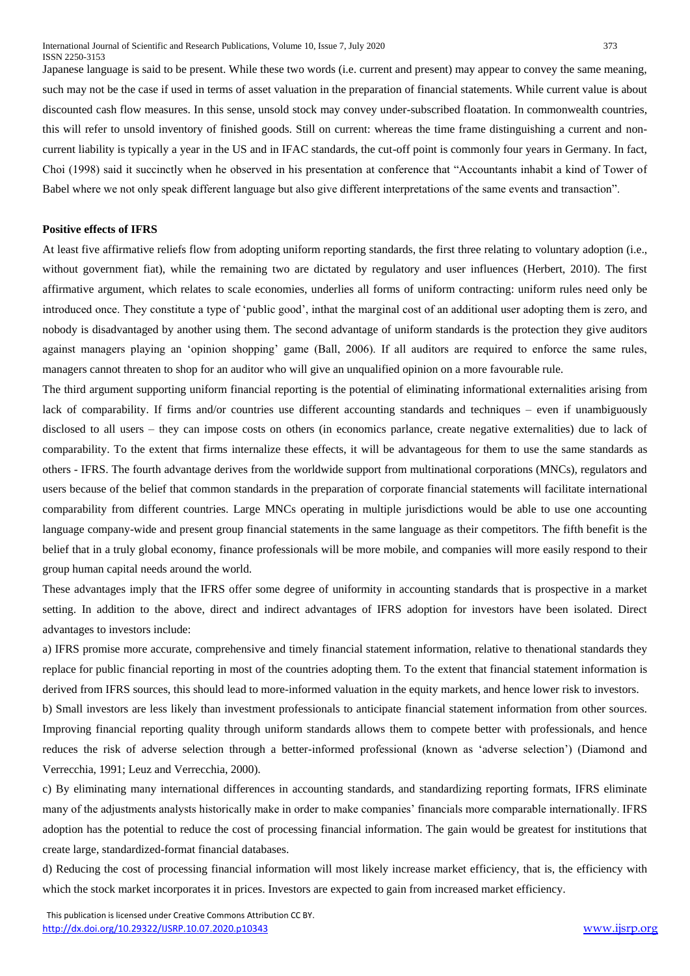Japanese language is said to be present. While these two words (i.e. current and present) may appear to convey the same meaning, such may not be the case if used in terms of asset valuation in the preparation of financial statements. While current value is about discounted cash flow measures. In this sense, unsold stock may convey under-subscribed floatation. In commonwealth countries, this will refer to unsold inventory of finished goods. Still on current: whereas the time frame distinguishing a current and noncurrent liability is typically a year in the US and in IFAC standards, the cut-off point is commonly four years in Germany. In fact, Choi (1998) said it succinctly when he observed in his presentation at conference that "Accountants inhabit a kind of Tower of Babel where we not only speak different language but also give different interpretations of the same events and transaction".

#### **Positive effects of IFRS**

At least five affirmative reliefs flow from adopting uniform reporting standards, the first three relating to voluntary adoption (i.e., without government fiat), while the remaining two are dictated by regulatory and user influences (Herbert, 2010). The first affirmative argument, which relates to scale economies, underlies all forms of uniform contracting: uniform rules need only be introduced once. They constitute a type of 'public good', inthat the marginal cost of an additional user adopting them is zero, and nobody is disadvantaged by another using them. The second advantage of uniform standards is the protection they give auditors against managers playing an 'opinion shopping' game (Ball, 2006). If all auditors are required to enforce the same rules, managers cannot threaten to shop for an auditor who will give an unqualified opinion on a more favourable rule.

The third argument supporting uniform financial reporting is the potential of eliminating informational externalities arising from lack of comparability. If firms and/or countries use different accounting standards and techniques – even if unambiguously disclosed to all users – they can impose costs on others (in economics parlance, create negative externalities) due to lack of comparability. To the extent that firms internalize these effects, it will be advantageous for them to use the same standards as others - IFRS. The fourth advantage derives from the worldwide support from multinational corporations (MNCs), regulators and users because of the belief that common standards in the preparation of corporate financial statements will facilitate international comparability from different countries. Large MNCs operating in multiple jurisdictions would be able to use one accounting language company-wide and present group financial statements in the same language as their competitors. The fifth benefit is the belief that in a truly global economy, finance professionals will be more mobile, and companies will more easily respond to their group human capital needs around the world.

These advantages imply that the IFRS offer some degree of uniformity in accounting standards that is prospective in a market setting. In addition to the above, direct and indirect advantages of IFRS adoption for investors have been isolated. Direct advantages to investors include:

a) IFRS promise more accurate, comprehensive and timely financial statement information, relative to thenational standards they replace for public financial reporting in most of the countries adopting them. To the extent that financial statement information is derived from IFRS sources, this should lead to more-informed valuation in the equity markets, and hence lower risk to investors.

b) Small investors are less likely than investment professionals to anticipate financial statement information from other sources. Improving financial reporting quality through uniform standards allows them to compete better with professionals, and hence reduces the risk of adverse selection through a better-informed professional (known as 'adverse selection') (Diamond and Verrecchia, 1991; Leuz and Verrecchia, 2000).

c) By eliminating many international differences in accounting standards, and standardizing reporting formats, IFRS eliminate many of the adjustments analysts historically make in order to make companies' financials more comparable internationally. IFRS adoption has the potential to reduce the cost of processing financial information. The gain would be greatest for institutions that create large, standardized-format financial databases.

d) Reducing the cost of processing financial information will most likely increase market efficiency, that is, the efficiency with which the stock market incorporates it in prices. Investors are expected to gain from increased market efficiency.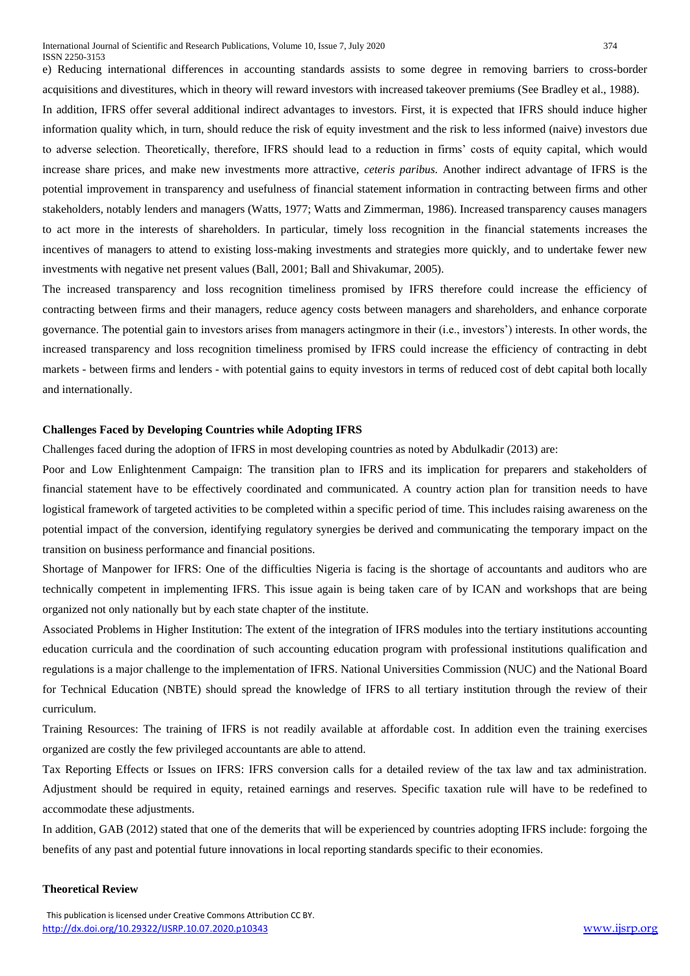e) Reducing international differences in accounting standards assists to some degree in removing barriers to cross-border acquisitions and divestitures, which in theory will reward investors with increased takeover premiums (See Bradley et al., 1988).

In addition, IFRS offer several additional indirect advantages to investors. First, it is expected that IFRS should induce higher information quality which, in turn, should reduce the risk of equity investment and the risk to less informed (naive) investors due to adverse selection. Theoretically, therefore, IFRS should lead to a reduction in firms' costs of equity capital, which would increase share prices, and make new investments more attractive, *ceteris paribus.* Another indirect advantage of IFRS is the potential improvement in transparency and usefulness of financial statement information in contracting between firms and other stakeholders, notably lenders and managers (Watts, 1977; Watts and Zimmerman, 1986). Increased transparency causes managers to act more in the interests of shareholders. In particular, timely loss recognition in the financial statements increases the incentives of managers to attend to existing loss-making investments and strategies more quickly, and to undertake fewer new investments with negative net present values (Ball, 2001; Ball and Shivakumar, 2005).

The increased transparency and loss recognition timeliness promised by IFRS therefore could increase the efficiency of contracting between firms and their managers, reduce agency costs between managers and shareholders, and enhance corporate governance. The potential gain to investors arises from managers actingmore in their (i.e., investors') interests. In other words, the increased transparency and loss recognition timeliness promised by IFRS could increase the efficiency of contracting in debt markets - between firms and lenders - with potential gains to equity investors in terms of reduced cost of debt capital both locally and internationally.

## **Challenges Faced by Developing Countries while Adopting IFRS**

Challenges faced during the adoption of IFRS in most developing countries as noted by Abdulkadir (2013) are:

Poor and Low Enlightenment Campaign: The transition plan to IFRS and its implication for preparers and stakeholders of financial statement have to be effectively coordinated and communicated. A country action plan for transition needs to have logistical framework of targeted activities to be completed within a specific period of time. This includes raising awareness on the potential impact of the conversion, identifying regulatory synergies be derived and communicating the temporary impact on the transition on business performance and financial positions.

Shortage of Manpower for IFRS: One of the difficulties Nigeria is facing is the shortage of accountants and auditors who are technically competent in implementing IFRS. This issue again is being taken care of by ICAN and workshops that are being organized not only nationally but by each state chapter of the institute.

Associated Problems in Higher Institution: The extent of the integration of IFRS modules into the tertiary institutions accounting education curricula and the coordination of such accounting education program with professional institutions qualification and regulations is a major challenge to the implementation of IFRS. National Universities Commission (NUC) and the National Board for Technical Education (NBTE) should spread the knowledge of IFRS to all tertiary institution through the review of their curriculum.

Training Resources: The training of IFRS is not readily available at affordable cost. In addition even the training exercises organized are costly the few privileged accountants are able to attend.

Tax Reporting Effects or Issues on IFRS: IFRS conversion calls for a detailed review of the tax law and tax administration. Adjustment should be required in equity, retained earnings and reserves. Specific taxation rule will have to be redefined to accommodate these adjustments.

In addition, GAB (2012) stated that one of the demerits that will be experienced by countries adopting IFRS include: forgoing the benefits of any past and potential future innovations in local reporting standards specific to their economies.

## **Theoretical Review**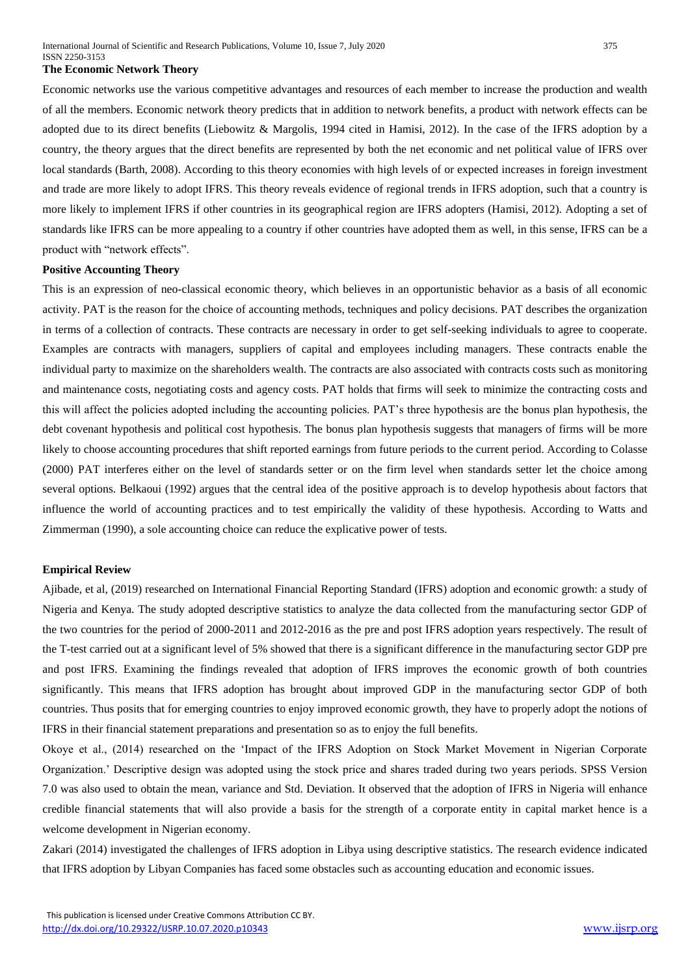#### **The Economic Network Theory**

Economic networks use the various competitive advantages and resources of each member to increase the production and wealth of all the members. Economic network theory predicts that in addition to network benefits, a product with network effects can be adopted due to its direct benefits (Liebowitz & Margolis, 1994 cited in Hamisi, 2012). In the case of the IFRS adoption by a country, the theory argues that the direct benefits are represented by both the net economic and net political value of IFRS over local standards (Barth, 2008). According to this theory economies with high levels of or expected increases in foreign investment and trade are more likely to adopt IFRS. This theory reveals evidence of regional trends in IFRS adoption, such that a country is more likely to implement IFRS if other countries in its geographical region are IFRS adopters (Hamisi, 2012). Adopting a set of standards like IFRS can be more appealing to a country if other countries have adopted them as well, in this sense, IFRS can be a product with "network effects".

#### **Positive Accounting Theory**

This is an expression of neo-classical economic theory, which believes in an opportunistic behavior as a basis of all economic activity. PAT is the reason for the choice of accounting methods, techniques and policy decisions. PAT describes the organization in terms of a collection of contracts. These contracts are necessary in order to get self-seeking individuals to agree to cooperate. Examples are contracts with managers, suppliers of capital and employees including managers. These contracts enable the individual party to maximize on the shareholders wealth. The contracts are also associated with contracts costs such as monitoring and maintenance costs, negotiating costs and agency costs. PAT holds that firms will seek to minimize the contracting costs and this will affect the policies adopted including the accounting policies. PAT's three hypothesis are the bonus plan hypothesis, the debt covenant hypothesis and political cost hypothesis. The bonus plan hypothesis suggests that managers of firms will be more likely to choose accounting procedures that shift reported earnings from future periods to the current period. According to Colasse (2000) PAT interferes either on the level of standards setter or on the firm level when standards setter let the choice among several options. Belkaoui (1992) argues that the central idea of the positive approach is to develop hypothesis about factors that influence the world of accounting practices and to test empirically the validity of these hypothesis. According to Watts and Zimmerman (1990), a sole accounting choice can reduce the explicative power of tests.

#### **Empirical Review**

Ajibade, et al, (2019) researched on International Financial Reporting Standard (IFRS) adoption and economic growth: a study of Nigeria and Kenya. The study adopted descriptive statistics to analyze the data collected from the manufacturing sector GDP of the two countries for the period of 2000-2011 and 2012-2016 as the pre and post IFRS adoption years respectively. The result of the T-test carried out at a significant level of 5% showed that there is a significant difference in the manufacturing sector GDP pre and post IFRS. Examining the findings revealed that adoption of IFRS improves the economic growth of both countries significantly. This means that IFRS adoption has brought about improved GDP in the manufacturing sector GDP of both countries. Thus posits that for emerging countries to enjoy improved economic growth, they have to properly adopt the notions of IFRS in their financial statement preparations and presentation so as to enjoy the full benefits.

Okoye et al., (2014) researched on the 'Impact of the IFRS Adoption on Stock Market Movement in Nigerian Corporate Organization.' Descriptive design was adopted using the stock price and shares traded during two years periods. SPSS Version 7.0 was also used to obtain the mean, variance and Std. Deviation. It observed that the adoption of IFRS in Nigeria will enhance credible financial statements that will also provide a basis for the strength of a corporate entity in capital market hence is a welcome development in Nigerian economy.

Zakari (2014) investigated the challenges of IFRS adoption in Libya using descriptive statistics. The research evidence indicated that IFRS adoption by Libyan Companies has faced some obstacles such as accounting education and economic issues.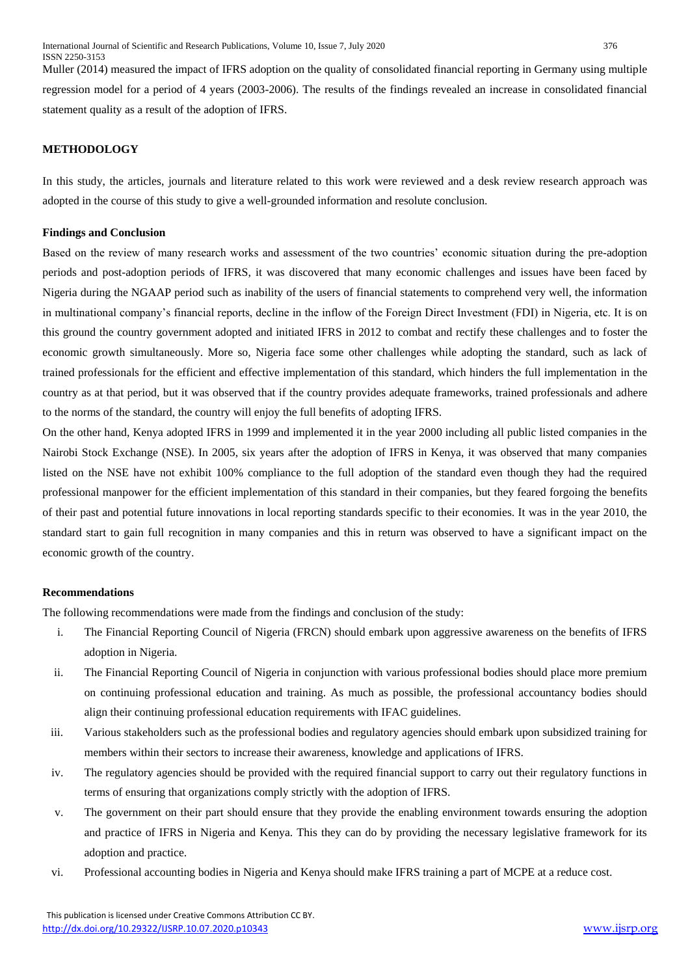Muller (2014) measured the impact of IFRS adoption on the quality of consolidated financial reporting in Germany using multiple regression model for a period of 4 years (2003-2006). The results of the findings revealed an increase in consolidated financial statement quality as a result of the adoption of IFRS.

# **METHODOLOGY**

In this study, the articles, journals and literature related to this work were reviewed and a desk review research approach was adopted in the course of this study to give a well-grounded information and resolute conclusion.

#### **Findings and Conclusion**

Based on the review of many research works and assessment of the two countries' economic situation during the pre-adoption periods and post-adoption periods of IFRS, it was discovered that many economic challenges and issues have been faced by Nigeria during the NGAAP period such as inability of the users of financial statements to comprehend very well, the information in multinational company's financial reports, decline in the inflow of the Foreign Direct Investment (FDI) in Nigeria, etc. It is on this ground the country government adopted and initiated IFRS in 2012 to combat and rectify these challenges and to foster the economic growth simultaneously. More so, Nigeria face some other challenges while adopting the standard, such as lack of trained professionals for the efficient and effective implementation of this standard, which hinders the full implementation in the country as at that period, but it was observed that if the country provides adequate frameworks, trained professionals and adhere to the norms of the standard, the country will enjoy the full benefits of adopting IFRS.

On the other hand, Kenya adopted IFRS in 1999 and implemented it in the year 2000 including all public listed companies in the Nairobi Stock Exchange (NSE). In 2005, six years after the adoption of IFRS in Kenya, it was observed that many companies listed on the NSE have not exhibit 100% compliance to the full adoption of the standard even though they had the required professional manpower for the efficient implementation of this standard in their companies, but they feared forgoing the benefits of their past and potential future innovations in local reporting standards specific to their economies. It was in the year 2010, the standard start to gain full recognition in many companies and this in return was observed to have a significant impact on the economic growth of the country.

## **Recommendations**

The following recommendations were made from the findings and conclusion of the study:

- i. The Financial Reporting Council of Nigeria (FRCN) should embark upon aggressive awareness on the benefits of IFRS adoption in Nigeria.
- ii. The Financial Reporting Council of Nigeria in conjunction with various professional bodies should place more premium on continuing professional education and training. As much as possible, the professional accountancy bodies should align their continuing professional education requirements with IFAC guidelines.
- iii. Various stakeholders such as the professional bodies and regulatory agencies should embark upon subsidized training for members within their sectors to increase their awareness, knowledge and applications of IFRS.
- iv. The regulatory agencies should be provided with the required financial support to carry out their regulatory functions in terms of ensuring that organizations comply strictly with the adoption of IFRS.
- v. The government on their part should ensure that they provide the enabling environment towards ensuring the adoption and practice of IFRS in Nigeria and Kenya. This they can do by providing the necessary legislative framework for its adoption and practice.
- vi. Professional accounting bodies in Nigeria and Kenya should make IFRS training a part of MCPE at a reduce cost.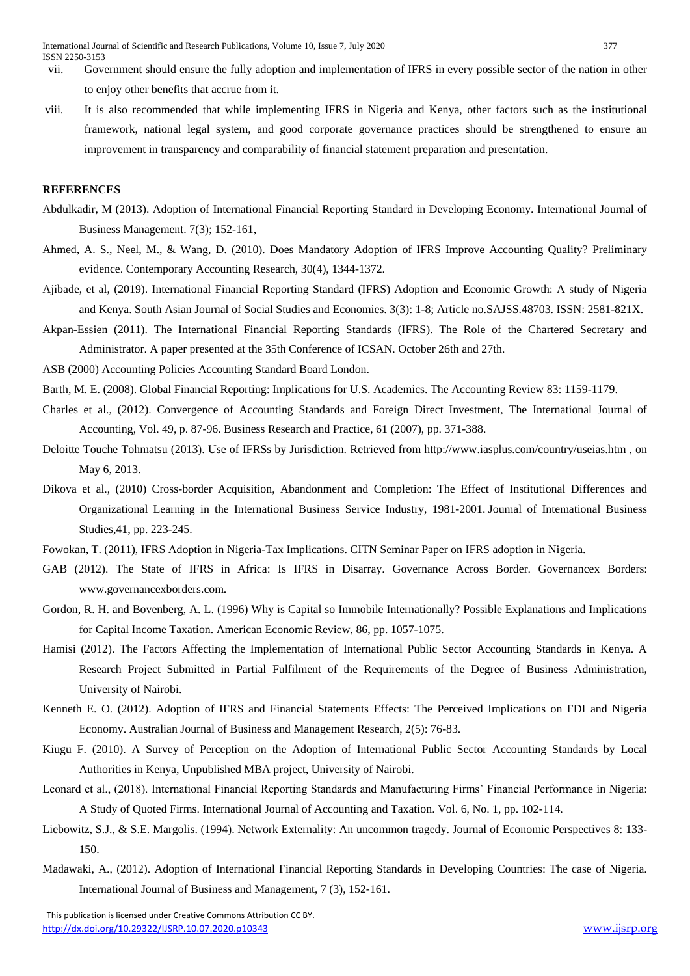- vii. Government should ensure the fully adoption and implementation of IFRS in every possible sector of the nation in other to enjoy other benefits that accrue from it.
- viii. It is also recommended that while implementing IFRS in Nigeria and Kenya, other factors such as the institutional framework, national legal system, and good corporate governance practices should be strengthened to ensure an improvement in transparency and comparability of financial statement preparation and presentation.

# **REFERENCES**

- Abdulkadir, M (2013). Adoption of International Financial Reporting Standard in Developing Economy. International Journal of Business Management. 7(3); 152-161,
- Ahmed, A. S., Neel, M., & Wang, D. (2010). Does Mandatory Adoption of IFRS Improve Accounting Quality? Preliminary evidence. Contemporary Accounting Research, 30(4), 1344-1372.
- Ajibade, et al, (2019). International Financial Reporting Standard (IFRS) Adoption and Economic Growth: A study of Nigeria and Kenya. South Asian Journal of Social Studies and Economies. 3(3): 1-8; Article no.SAJSS.48703. ISSN: 2581-821X.
- Akpan-Essien (2011). The International Financial Reporting Standards (IFRS). The Role of the Chartered Secretary and Administrator. A paper presented at the 35th Conference of ICSAN. October 26th and 27th.
- ASB (2000) Accounting Policies Accounting Standard Board London.
- Barth, M. E. (2008). Global Financial Reporting: Implications for U.S. Academics. The Accounting Review 83: 1159-1179.
- Charles et al., (2012). Convergence of Accounting Standards and Foreign Direct Investment, The International Journal of Accounting, Vol. 49, p. 87-96. Business Research and Practice, 61 (2007), pp. 371-388.
- Deloitte Touche Tohmatsu (2013). Use of IFRSs by Jurisdiction. Retrieved from http://www.iasplus.com/country/useias.htm , on May 6, 2013.
- Dikova et al., (2010) Cross-border Acquisition, Abandonment and Completion: The Effect of Institutional Differences and Organizational Learning in the International Business Service Industry, 1981-2001. Joumal of Intemational Business Studies,41, pp. 223-245.
- Fowokan, T. (2011), IFRS Adoption in Nigeria-Tax Implications. CITN Seminar Paper on IFRS adoption in Nigeria.
- GAB (2012). The State of IFRS in Africa: Is IFRS in Disarray. Governance Across Border. Governancex Borders: www.governancexborders.com.
- Gordon, R. H. and Bovenberg, A. L. (1996) Why is Capital so Immobile Internationally? Possible Explanations and Implications for Capital Income Taxation. American Economic Review, 86, pp. 1057-1075.
- Hamisi (2012). The Factors Affecting the Implementation of International Public Sector Accounting Standards in Kenya. A Research Project Submitted in Partial Fulfilment of the Requirements of the Degree of Business Administration, University of Nairobi.
- Kenneth E. O. (2012). Adoption of IFRS and Financial Statements Effects: The Perceived Implications on FDI and Nigeria Economy. Australian Journal of Business and Management Research, 2(5): 76-83.
- Kiugu F. (2010). A Survey of Perception on the Adoption of International Public Sector Accounting Standards by Local Authorities in Kenya, Unpublished MBA project, University of Nairobi.
- Leonard et al., (2018). International Financial Reporting Standards and Manufacturing Firms' Financial Performance in Nigeria: A Study of Quoted Firms. International Journal of Accounting and Taxation. Vol. 6, No. 1, pp. 102-114.
- Liebowitz, S.J., & S.E. Margolis. (1994). Network Externality: An uncommon tragedy. Journal of Economic Perspectives 8: 133- 150.
- Madawaki, A., (2012). Adoption of International Financial Reporting Standards in Developing Countries: The case of Nigeria. International Journal of Business and Management, 7 (3), 152-161.